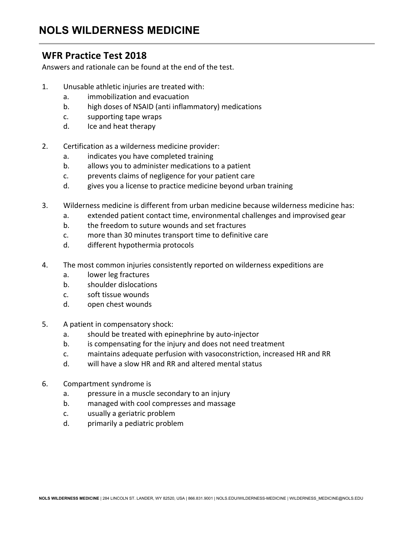### **WFR Practice Test 2018**

Answers and rationale can be found at the end of the test.

- 1. Unusable athletic injuries are treated with:
	- a. immobilization and evacuation
	- b. high doses of NSAID (anti inflammatory) medications
	- c. supporting tape wraps
	- d. Ice and heat therapy
- 2. Certification as a wilderness medicine provider:
	- a. indicates you have completed training
	- b. allows you to administer medications to a patient
	- c. prevents claims of negligence for your patient care
	- d. gives you a license to practice medicine beyond urban training
- 3. Wilderness medicine is different from urban medicine because wilderness medicine has:
	- a. extended patient contact time, environmental challenges and improvised gear
	- b. the freedom to suture wounds and set fractures
	- c. more than 30 minutes transport time to definitive care
	- d. different hypothermia protocols
- 4. The most common injuries consistently reported on wilderness expeditions are
	- a. lower leg fractures
	- b. shoulder dislocations
	- c. soft tissue wounds
	- d. open chest wounds
- 5. A patient in compensatory shock:
	- a. should be treated with epinephrine by auto-injector
	- b. is compensating for the injury and does not need treatment
	- c. maintains adequate perfusion with vasoconstriction, increased HR and RR
	- d. will have a slow HR and RR and altered mental status
- 6. Compartment syndrome is
	- a. pressure in a muscle secondary to an injury
	- b. managed with cool compresses and massage
	- c. usually a geriatric problem
	- d. primarily a pediatric problem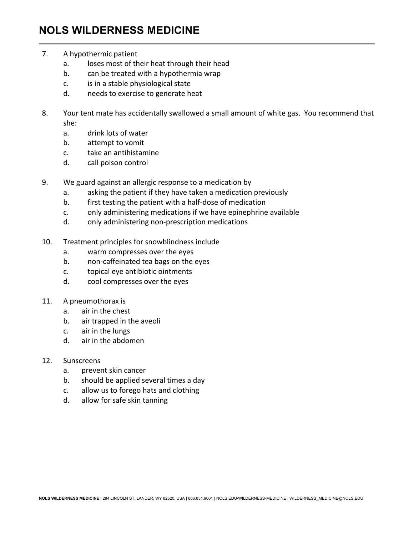- 7. A hypothermic patient
	- a. loses most of their heat through their head
	- b. can be treated with a hypothermia wrap
	- c. is in a stable physiological state
	- d. needs to exercise to generate heat
- 8. Your tent mate has accidentally swallowed a small amount of white gas. You recommend that she:
	- a. drink lots of water
	- b. attempt to vomit
	- c. take an antihistamine
	- d. call poison control
- 9. We guard against an allergic response to a medication by
	- a. asking the patient if they have taken a medication previously
	- b. first testing the patient with a half-dose of medication
	- c. only administering medications if we have epinephrine available
	- d. only administering non-prescription medications
- 10. Treatment principles for snowblindness include
	- a. warm compresses over the eyes
	- b. non-caffeinated tea bags on the eyes
	- c. topical eye antibiotic ointments
	- d. cool compresses over the eyes
- 11. A pneumothorax is
	- a. air in the chest
	- b. air trapped in the aveoli
	- c. air in the lungs
	- d. air in the abdomen
- 12. Sunscreens
	- a. prevent skin cancer
	- b. should be applied several times a day
	- c. allow us to forego hats and clothing
	- d. allow for safe skin tanning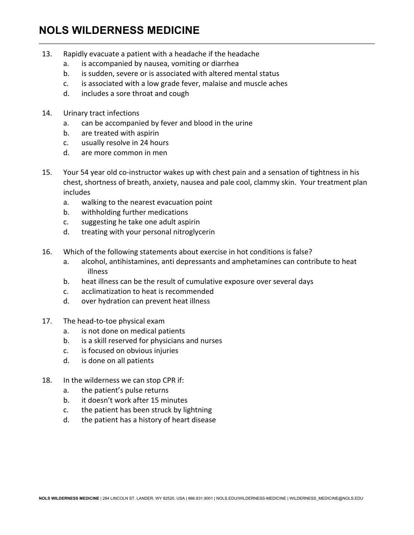- 13. Rapidly evacuate a patient with a headache if the headache
	- a. is accompanied by nausea, vomiting or diarrhea
	- b. is sudden, severe or is associated with altered mental status
	- c. is associated with a low grade fever, malaise and muscle aches
	- d. includes a sore throat and cough
- 14. Urinary tract infections
	- a. can be accompanied by fever and blood in the urine
	- b. are treated with aspirin
	- c. usually resolve in 24 hours
	- d. are more common in men
- 15. Your 54 year old co-instructor wakes up with chest pain and a sensation of tightness in his chest, shortness of breath, anxiety, nausea and pale cool, clammy skin. Your treatment plan includes
	- a. walking to the nearest evacuation point
	- b. withholding further medications
	- c. suggesting he take one adult aspirin
	- d. treating with your personal nitroglycerin
- 16. Which of the following statements about exercise in hot conditions is false?
	- a. alcohol, antihistamines, anti depressants and amphetamines can contribute to heat illness
	- b. heat illness can be the result of cumulative exposure over several days
	- c. acclimatization to heat is recommended
	- d. over hydration can prevent heat illness
- 17. The head-to-toe physical exam
	- a. is not done on medical patients
	- b. is a skill reserved for physicians and nurses
	- c. is focused on obvious injuries
	- d. is done on all patients
- 18. In the wilderness we can stop CPR if:
	- a. the patient's pulse returns
	- b. it doesn't work after 15 minutes
	- c. the patient has been struck by lightning
	- d. the patient has a history of heart disease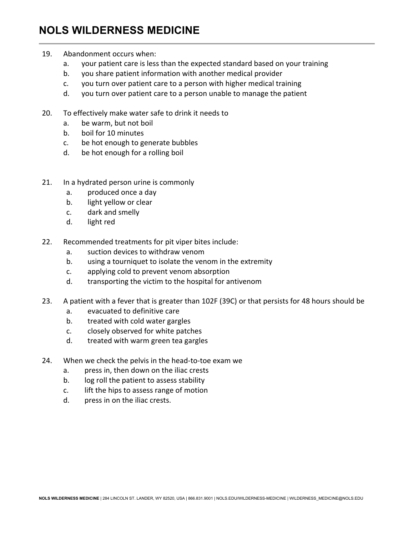- 19. Abandonment occurs when:
	- a. your patient care is less than the expected standard based on your training
	- b. you share patient information with another medical provider
	- c. you turn over patient care to a person with higher medical training
	- d. you turn over patient care to a person unable to manage the patient
- 20. To effectively make water safe to drink it needs to
	- a. be warm, but not boil
	- b. boil for 10 minutes
	- c. be hot enough to generate bubbles
	- d. be hot enough for a rolling boil
- 21. In a hydrated person urine is commonly
	- a. produced once a day
	- b. light yellow or clear
	- c. dark and smelly
	- d. light red
- 22. Recommended treatments for pit viper bites include:
	- a. suction devices to withdraw venom
	- b. using a tourniquet to isolate the venom in the extremity
	- c. applying cold to prevent venom absorption
	- d. transporting the victim to the hospital for antivenom
- 23. A patient with a fever that is greater than 102F (39C) or that persists for 48 hours should be
	- a. evacuated to definitive care
	- b. treated with cold water gargles
	- c. closely observed for white patches
	- d. treated with warm green tea gargles
- 24. When we check the pelvis in the head-to-toe exam we
	- a. press in, then down on the iliac crests
	- b. log roll the patient to assess stability
	- c. lift the hips to assess range of motion
	- d. press in on the iliac crests.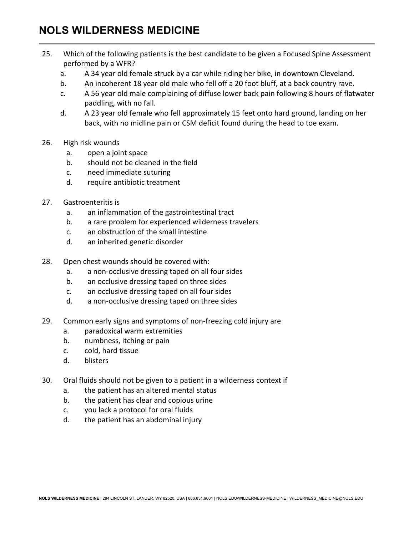- 25. Which of the following patients is the best candidate to be given a Focused Spine Assessment performed by a WFR?
	- a. A 34 year old female struck by a car while riding her bike, in downtown Cleveland.
	- b. An incoherent 18 year old male who fell off a 20 foot bluff, at a back country rave.
	- c. A 56 year old male complaining of diffuse lower back pain following 8 hours of flatwater paddling, with no fall.
	- d. A 23 year old female who fell approximately 15 feet onto hard ground, landing on her back, with no midline pain or CSM deficit found during the head to toe exam.
- 26. High risk wounds
	- a. open a joint space
	- b. should not be cleaned in the field
	- c. need immediate suturing
	- d. require antibiotic treatment
- 27. Gastroenteritis is
	- a. an inflammation of the gastrointestinal tract
	- b. a rare problem for experienced wilderness travelers
	- c. an obstruction of the small intestine
	- d. an inherited genetic disorder
- 28. Open chest wounds should be covered with:
	- a. a non-occlusive dressing taped on all four sides
	- b. an occlusive dressing taped on three sides
	- c. an occlusive dressing taped on all four sides
	- d. a non-occlusive dressing taped on three sides
- 29. Common early signs and symptoms of non-freezing cold injury are
	- a. paradoxical warm extremities
	- b. numbness, itching or pain
	- c. cold, hard tissue
	- d. blisters
- 30. Oral fluids should not be given to a patient in a wilderness context if
	- a. the patient has an altered mental status
	- b. the patient has clear and copious urine
	- c. you lack a protocol for oral fluids
	- d. the patient has an abdominal injury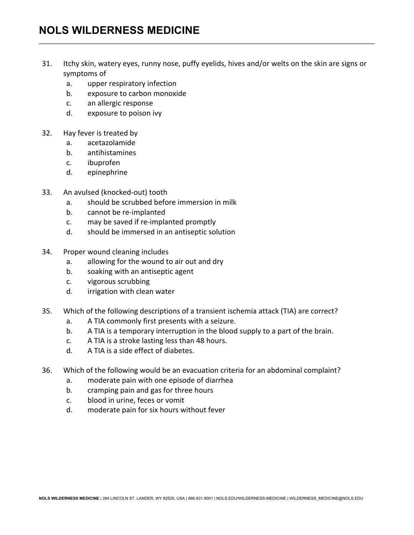- 31. Itchy skin, watery eyes, runny nose, puffy eyelids, hives and/or welts on the skin are signs or symptoms of
	- a. upper respiratory infection
	- b. exposure to carbon monoxide
	- c. an allergic response
	- d. exposure to poison ivy
- 32. Hay fever is treated by
	- a. acetazolamide
	- b. antihistamines
	- c. ibuprofen
	- d. epinephrine
- 33. An avulsed (knocked-out) tooth
	- a. should be scrubbed before immersion in milk
	- b. cannot be re-implanted
	- c. may be saved if re-implanted promptly
	- d. should be immersed in an antiseptic solution
- 34. Proper wound cleaning includes
	- a. allowing for the wound to air out and dry
	- b. soaking with an antiseptic agent
	- c. vigorous scrubbing
	- d. irrigation with clean water
- 35. Which of the following descriptions of a transient ischemia attack (TIA) are correct?
	- a. A TIA commonly first presents with a seizure.
	- b. A TIA is a temporary interruption in the blood supply to a part of the brain.
	- c. A TIA is a stroke lasting less than 48 hours.
	- d. A TIA is a side effect of diabetes.
- 36. Which of the following would be an evacuation criteria for an abdominal complaint?
	- a. moderate pain with one episode of diarrhea
	- b. cramping pain and gas for three hours
	- c. blood in urine, feces or vomit
	- d. moderate pain for six hours without fever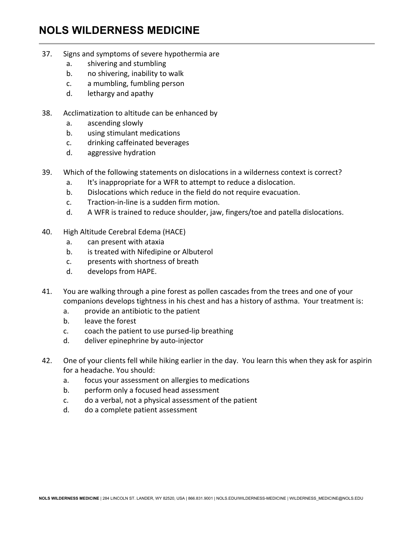- 37. Signs and symptoms of severe hypothermia are
	- a. shivering and stumbling
	- b. no shivering, inability to walk
	- c. a mumbling, fumbling person
	- d. lethargy and apathy
- 38. Acclimatization to altitude can be enhanced by
	- a. ascending slowly
	- b. using stimulant medications
	- c. drinking caffeinated beverages
	- d. aggressive hydration
- 39. Which of the following statements on dislocations in a wilderness context is correct?
	- a. It's inappropriate for a WFR to attempt to reduce a dislocation.
	- b. Dislocations which reduce in the field do not require evacuation.
	- $c.$  Traction-in-line is a sudden firm motion.
	- d. A WFR is trained to reduce shoulder, jaw, fingers/toe and patella dislocations.
- 40. High Altitude Cerebral Edema (HACE)
	- a. can present with ataxia
	- b. is treated with Nifedipine or Albuterol
	- c. presents with shortness of breath
	- d. develops from HAPE.
- 41. You are walking through a pine forest as pollen cascades from the trees and one of your companions develops tightness in his chest and has a history of asthma. Your treatment is:
	- a. provide an antibiotic to the patient
	- b. leave the forest
	- c. coach the patient to use pursed-lip breathing
	- d. deliver epinephrine by auto-injector
- 42. One of your clients fell while hiking earlier in the day. You learn this when they ask for aspirin for a headache. You should:
	- a. focus your assessment on allergies to medications
	- b. perform only a focused head assessment
	- c. do a verbal, not a physical assessment of the patient
	- d. do a complete patient assessment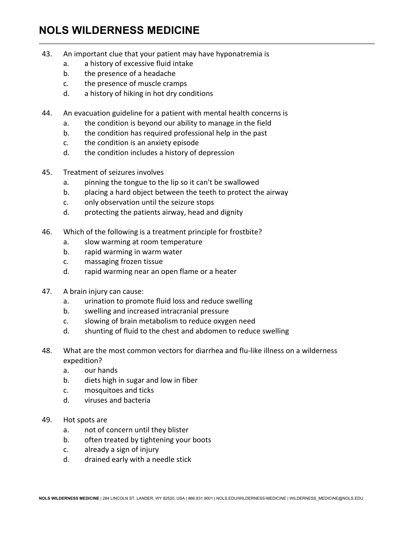- 43. An important clue that your patient may have hyponatremia is
	- a. a history of excessive fluid intake
	- b. the presence of a headache
	- c. the presence of muscle cramps
	- d. a history of hiking in hot dry conditions
- 44. An evacuation guideline for a patient with mental health concerns is
	- a. the condition is beyond our ability to manage in the field
	- b. the condition has required professional help in the past
	- c. the condition is an anxiety episode
	- d. the condition includes a history of depression
- 45. Treatment of seizures involves
	- a. pinning the tongue to the lip so it can't be swallowed
	- b. placing a hard object between the teeth to protect the airway
	- c. only observation until the seizure stops
	- d. protecting the patients airway, head and dignity
- 46. Which of the following is a treatment principle for frostbite?
	- a. slow warming at room temperature
	- b. rapid warming in warm water
	- c. massaging frozen tissue
	- d. rapid warming near an open flame or a heater
- 47. A brain injury can cause:
	- a. urination to promote fluid loss and reduce swelling
	- b. swelling and increased intracranial pressure
	- c. slowing of brain metabolism to reduce oxygen need
	- d. shunting of fluid to the chest and abdomen to reduce swelling
- 48. What are the most common vectors for diarrhea and flu-like illness on a wilderness expedition?
	- a. our hands
	- b. diets high in sugar and low in fiber
	- c. mosquitoes and ticks
	- d. viruses and bacteria
- 49. Hot spots are
	- a. not of concern until they blister
	- b. often treated by tightening your boots
	- c. already a sign of injury
	- d. drained early with a needle stick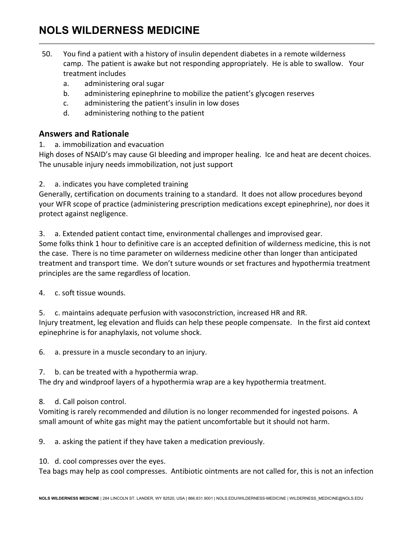- 50. You find a patient with a history of insulin dependent diabetes in a remote wilderness camp. The patient is awake but not responding appropriately. He is able to swallow. Your treatment includes
	- a. administering oral sugar
	- b. administering epinephrine to mobilize the patient's glycogen reserves
	- c. administering the patient's insulin in low doses
	- d. administering nothing to the patient

### **Answers and Rationale**

1. a. immobilization and evacuation

High doses of NSAID's may cause GI bleeding and improper healing. Ice and heat are decent choices. The unusable injury needs immobilization, not just support

2. a. indicates you have completed training

Generally, certification on documents training to a standard. It does not allow procedures beyond your WFR scope of practice (administering prescription medications except epinephrine), nor does it protect against negligence.

3. a. Extended patient contact time, environmental challenges and improvised gear.

Some folks think 1 hour to definitive care is an accepted definition of wilderness medicine, this is not the case. There is no time parameter on wilderness medicine other than longer than anticipated treatment and transport time. We don't suture wounds or set fractures and hypothermia treatment principles are the same regardless of location.

4. c. soft tissue wounds.

5. c. maintains adequate perfusion with vasoconstriction, increased HR and RR.

Injury treatment, leg elevation and fluids can help these people compensate. In the first aid context epinephrine is for anaphylaxis, not volume shock.

6. a. pressure in a muscle secondary to an injury.

7. b. can be treated with a hypothermia wrap.

The dry and windproof layers of a hypothermia wrap are a key hypothermia treatment.

8. d. Call poison control.

Vomiting is rarely recommended and dilution is no longer recommended for ingested poisons. A small amount of white gas might may the patient uncomfortable but it should not harm.

9. a. asking the patient if they have taken a medication previously.

10. d. cool compresses over the eyes.

Tea bags may help as cool compresses. Antibiotic ointments are not called for, this is not an infection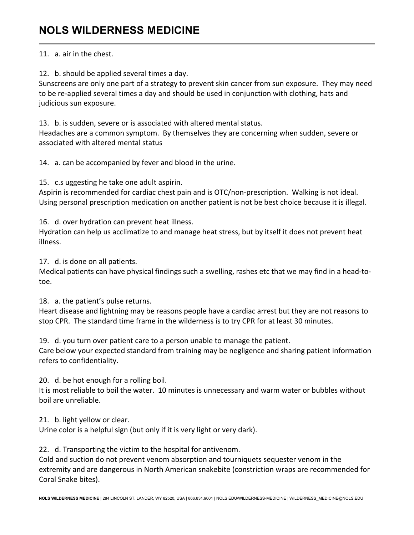### 11. a. air in the chest.

12. b. should be applied several times a day.

Sunscreens are only one part of a strategy to prevent skin cancer from sun exposure. They may need to be re-applied several times a day and should be used in conjunction with clothing, hats and judicious sun exposure.

13. b. is sudden, severe or is associated with altered mental status. Headaches are a common symptom. By themselves they are concerning when sudden, severe or associated with altered mental status

14. a. can be accompanied by fever and blood in the urine.

15. c.s uggesting he take one adult aspirin.

Aspirin is recommended for cardiac chest pain and is OTC/non-prescription. Walking is not ideal. Using personal prescription medication on another patient is not be best choice because it is illegal.

16. d. over hydration can prevent heat illness.

Hydration can help us acclimatize to and manage heat stress, but by itself it does not prevent heat illness.

17. d. is done on all patients.

Medical patients can have physical findings such a swelling, rashes etc that we may find in a head-totoe.

18. a. the patient's pulse returns.

Heart disease and lightning may be reasons people have a cardiac arrest but they are not reasons to stop CPR. The standard time frame in the wilderness is to try CPR for at least 30 minutes.

19. d. you turn over patient care to a person unable to manage the patient.

Care below your expected standard from training may be negligence and sharing patient information refers to confidentiality.

20. d. be hot enough for a rolling boil.

It is most reliable to boil the water. 10 minutes is unnecessary and warm water or bubbles without boil are unreliable.

21. b. light yellow or clear.

Urine color is a helpful sign (but only if it is very light or very dark).

22. d. Transporting the victim to the hospital for antivenom.

Cold and suction do not prevent venom absorption and tourniquets sequester venom in the extremity and are dangerous in North American snakebite (constriction wraps are recommended for Coral Snake bites).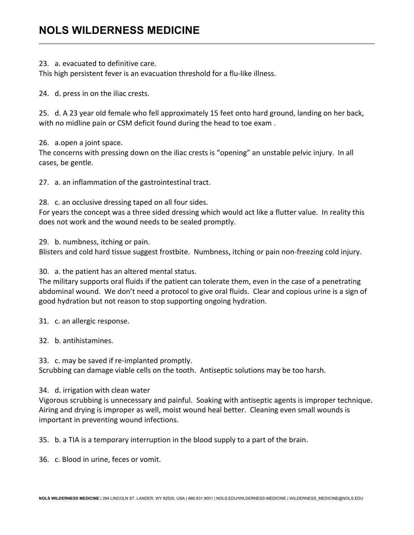23. a. evacuated to definitive care.

This high persistent fever is an evacuation threshold for a flu-like illness.

24. d. press in on the iliac crests.

25. d. A 23 year old female who fell approximately 15 feet onto hard ground, landing on her back, with no midline pain or CSM deficit found during the head to toe exam.

26. a.open a joint space.

The concerns with pressing down on the iliac crests is "opening" an unstable pelvic injury. In all cases, be gentle.

27. a. an inflammation of the gastrointestinal tract.

28. c. an occlusive dressing taped on all four sides.

For years the concept was a three sided dressing which would act like a flutter value. In reality this does not work and the wound needs to be sealed promptly.

29. b. numbness, itching or pain.

Blisters and cold hard tissue suggest frostbite. Numbness, itching or pain non-freezing cold injury.

30. a. the patient has an altered mental status.

The military supports oral fluids if the patient can tolerate them, even in the case of a penetrating abdominal wound. We don't need a protocol to give oral fluids. Clear and copious urine is a sign of good hydration but not reason to stop supporting ongoing hydration.

31. c. an allergic response.

32. b. antihistamines.

33. c. may be saved if re-implanted promptly.

Scrubbing can damage viable cells on the tooth. Antiseptic solutions may be too harsh.

#### 34. d. irrigation with clean water

Vigorous scrubbing is unnecessary and painful. Soaking with antiseptic agents is improper technique. Airing and drying is improper as well, moist wound heal better. Cleaning even small wounds is important in preventing wound infections.

35. b. a TIA is a temporary interruption in the blood supply to a part of the brain.

36. c. Blood in urine, feces or vomit.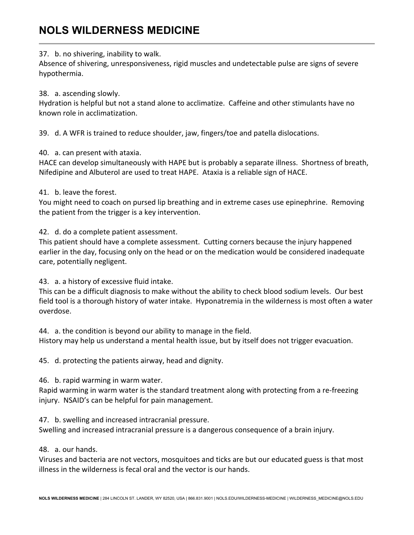### 37. b. no shivering, inability to walk.

Absence of shivering, unresponsiveness, rigid muscles and undetectable pulse are signs of severe hypothermia.

### 38. a. ascending slowly.

Hydration is helpful but not a stand alone to acclimatize. Caffeine and other stimulants have no known role in acclimatization.

39. d. A WFR is trained to reduce shoulder, jaw, fingers/toe and patella dislocations.

### 40. a. can present with ataxia.

HACE can develop simultaneously with HAPE but is probably a separate illness. Shortness of breath, Nifedipine and Albuterol are used to treat HAPE. Ataxia is a reliable sign of HACE.

#### 41. b. leave the forest.

You might need to coach on pursed lip breathing and in extreme cases use epinephrine. Removing the patient from the trigger is a key intervention.

42. d. do a complete patient assessment.

This patient should have a complete assessment. Cutting corners because the injury happened earlier in the day, focusing only on the head or on the medication would be considered inadequate care, potentially negligent.

43. a. a history of excessive fluid intake.

This can be a difficult diagnosis to make without the ability to check blood sodium levels. Our best field tool is a thorough history of water intake. Hyponatremia in the wilderness is most often a water overdose.

44. a. the condition is beyond our ability to manage in the field.

History may help us understand a mental health issue, but by itself does not trigger evacuation.

45. d. protecting the patients airway, head and dignity.

46. b. rapid warming in warm water.

Rapid warming in warm water is the standard treatment along with protecting from a re-freezing injury. NSAID's can be helpful for pain management.

47. b. swelling and increased intracranial pressure.

Swelling and increased intracranial pressure is a dangerous consequence of a brain injury.

### 48. a. our hands.

Viruses and bacteria are not vectors, mosquitoes and ticks are but our educated guess is that most illness in the wilderness is fecal oral and the vector is our hands.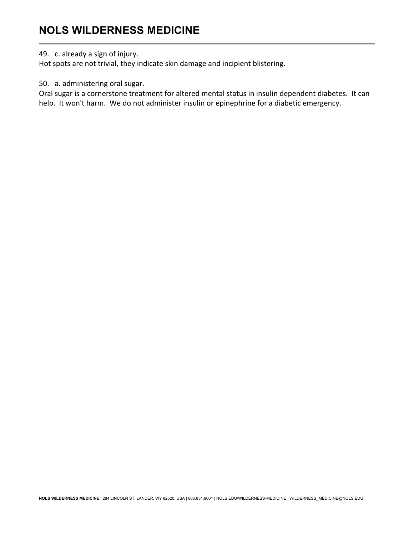#### 49. c. already a sign of injury.

Hot spots are not trivial, they indicate skin damage and incipient blistering.

50. a. administering oral sugar.

Oral sugar is a cornerstone treatment for altered mental status in insulin dependent diabetes. It can help. It won't harm. We do not administer insulin or epinephrine for a diabetic emergency.